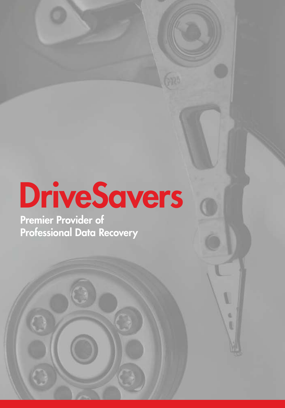# DriveSavers

V

ű

Premier Provider of Professional Data Recovery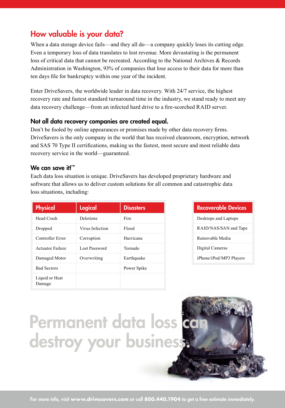## How valuable is your data?

When a data storage device fails—and they all do—a company quickly loses its cutting edge. Even a temporary loss of data translates to lost revenue. More devastating is the permanent loss of critical data that cannot be recreated. According to the National Archives & Records Administration in Washington, 93% of companies that lose access to their data for more than ten days file for bankruptcy within one year of the incident.

Enter DriveSavers, the worldwide leader in data recovery. With 24/7 service, the highest recovery rate and fastest standard turnaround time in the industry, we stand ready to meet any data recovery challenge—from an infected hard drive to a fire-scorched RAID server.

#### Not all data recovery companies are created equal.

Don't be fooled by online appearances or promises made by other data recovery firms. DriveSavers is the only company in the world that has received cleanroom, encryption, network and SAS 70 Type II certifications, making us the fastest, most secure and most reliable data recovery service in the world—guaranteed.

#### We can save it!™

Each data loss situation is unique. DriveSavers has developed proprietary hardware and software that allows us to deliver custom solutions for all common and catastrophic data loss situations, including:

| <b>Physical</b>          | <b>Logical</b>  | <b>Disasters</b> |
|--------------------------|-----------------|------------------|
| Head Crash               | Deletions       | Fire             |
| Dropped                  | Virus Infection | Flood            |
| Controller Error         | Corruption      | Hurricane        |
| Actuator Failure         | Lost Password   | Tornado          |
| Damaged Motor            | Overwriting     | Earthquake       |
| <b>Bad Sectors</b>       |                 | Power Spike      |
| Liquid or Heat<br>Damage |                 |                  |

| <b>Recoverable Devices</b> |
|----------------------------|
| Desktops and Laptops       |
| RAID/NAS/SAN and Tape      |
| Removable Media            |
| Digital Cameras            |
| iPhone/iPod/MP3 Players    |
|                            |

# Permanent data loss co destroy your business.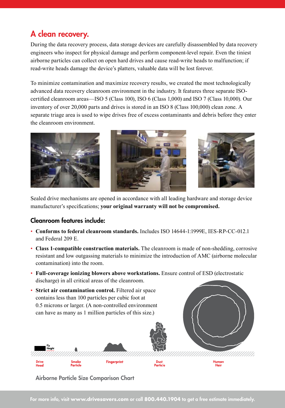## A clean recovery.

During the data recovery process, data storage devices are carefully disassembled by data recovery engineers who inspect for physical damage and perform component-level repair. Even the tiniest airborne particles can collect on open hard drives and cause read-write heads to malfunction; if read-write heads damage the device's platters, valuable data will be lost forever.

To minimize contamination and maximize recovery results, we created the most technologically advanced data recovery cleanroom environment in the industry. It features three separate ISOcertified cleanroom areas—ISO 5 (Class 100), ISO 6 (Class 1,000) and ISO 7 (Class 10,000). Our inventory of over 20,000 parts and drives is stored in an ISO 8 (Class 100,000) clean zone. A separate triage area is used to wipe drives free of excess contaminants and debris before they enter the cleanroom environment.







Sealed drive mechanisms are opened in accordance with all leading hardware and storage device manufacturer's specifications; **your original warranty will not be compromised.**

#### Cleanroom features include:

- **Conforms to federal cleanroom standards.** Includes ISO 14644-1:1999E, IES-RP-CC-012.1 and Federal 209 E.
- **Class 1-compatible construction materials.** The cleanroom is made of non-shedding, corrosive resistant and low outgassing materials to minimize the introduction of AMC (airborne molecular contamination) into the room.
- **Full-coverage ionizing blowers above workstations.** Ensure control of ESD (electrostatic discharge) in all critical areas of the cleanroom.



Airborne Particle Size Comparison Chart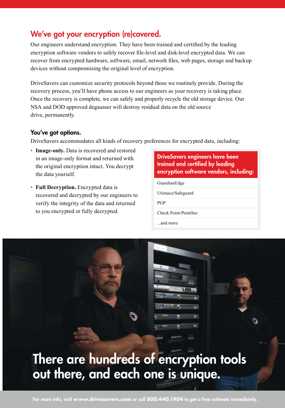## We've got your encryption (re)covered.

Our engineers understand encryption. They have been trained and certified by the leading encryption software vendors to safely recover file-level and disk-level encrypted data. We can recover from encrypted hardware, software, email, network files, web pages, storage and backup devices without compromising the original level of encryption.

DriveSavers can customize security protocols beyond those we routinely provide. During the recovery process, you'll have phone access to our engineers as your recovery is taking place. Once the recovery is complete, we can safely and properly recycle the old storage device. Our NSA and DOD approved degausser will destroy residual data on the old source drive, permanently.

#### You've got options.

DriveSavers accommodates all kinds of recovery preferences for encrypted data, including:

- **Image-only.** Data is recovered and restored in an image-only format and returned with the original encryption intact. You decrypt the data yourself.
- **Full Decryption.** Encrypted data is recovered and decrypted by our engineers to verify the integrity of the data and returned to you encrypted or fully decrypted.

| <b>DriveSavers engineers have been</b>  |  |
|-----------------------------------------|--|
| trained and certified by leading        |  |
| encryption software vendors, including: |  |

O

GuardianEdge

Utimaco/Safeguard

PGP

Check Point/PointSec

...and more

# There are hundreds of encryption tools out there, and each one is unique.

For more info, visit **www.drivesavers.com** or call **800.440.1904** to get a free estimate immediately.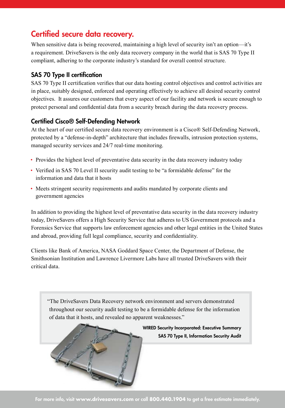# Certified secure data recovery.

When sensitive data is being recovered, maintaining a high level of security isn't an option—it's a requirement. DriveSavers is the only data recovery company in the world that is SAS 70 Type II compliant, adhering to the corporate industry's standard for overall control structure.

#### SAS 70 Type II certification

SAS 70 Type II certification verifies that our data hosting control objectives and control activities are in place, suitably designed, enforced and operating effectively to achieve all desired security control objectives. It assures our customers that every aspect of our facility and network is secure enough to protect personal and confidential data from a security breach during the data recovery process.

#### Certified Cisco® Self-Defending Network

At the heart of our certified secure data recovery environment is a Cisco® Self-Defending Network, protected by a "defense-in-depth" architecture that includes firewalls, intrusion protection systems, managed security services and 24/7 real-time monitoring.

- Provides the highest level of preventative data security in the data recovery industry today
- Verified in SAS 70 Level II security audit testing to be "a formidable defense" for the information and data that it hosts
- Meets stringent security requirements and audits mandated by corporate clients and government agencies

In addition to providing the highest level of preventative data security in the data recovery industry today, DriveSavers offers a High Security Service that adheres to US Government protocols and a Forensics Service that supports law enforcement agencies and other legal entities in the United States and abroad, providing full legal compliance, security and confidentiality.

Clients like Bank of America, NASA Goddard Space Center, the Department of Defense, the Smithsonian Institution and Lawrence Livermore Labs have all trusted DriveSavers with their critical data.

"The DriveSavers Data Recovery network environment and servers demonstrated throughout our security audit testing to be a formidable defense for the information of data that it hosts, and revealed no apparent weaknesses."

> WIRED Security Incorporated: Executive Summary SAS 70 Type II, Information Security Audit